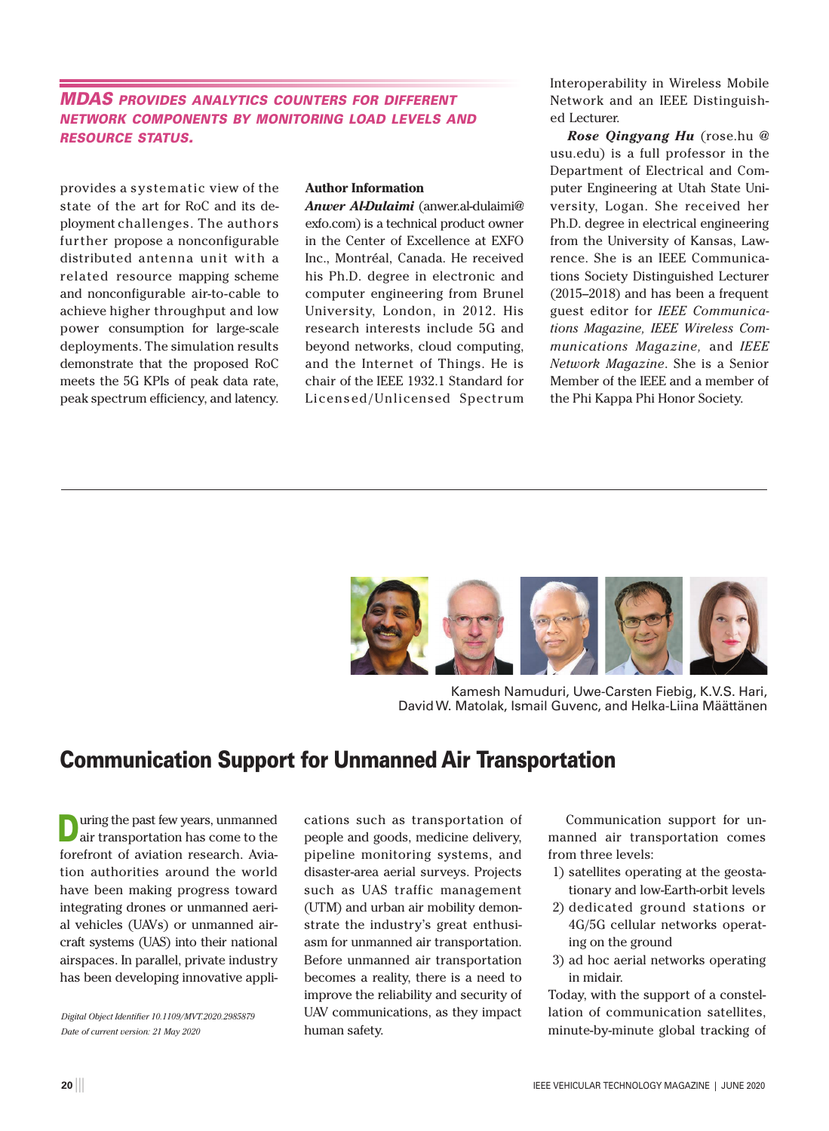## *MDAS provides analytics counters for different network components by monitoring load levels and resource status.*

provides a systematic view of the state of the art for RoC and its deployment challenges. The authors further propose a nonconfigurable distributed antenna unit with a related resource mapping scheme and nonconfigurable air-to-cable to achieve higher throughput and low power consumption for large-scale deployments. The simulation results demonstrate that the proposed RoC meets the 5G KPIs of peak data rate, peak spectrum efficiency, and latency.

## **Author Information**

*Anwer Al-Dulaimi* (anwer.al-dulaimi@ exfo.com) is a technical product owner in the Center of Excellence at EXFO Inc., Montréal, Canada. He received his Ph.D. degree in electronic and computer engineering from Brunel University, London, in 2012. His research interests include 5G and beyond networks, cloud computing, and the Internet of Things. He is chair of the IEEE 1932.1 Standard for Licensed/Unlicensed Spectrum Interoperability in Wireless Mobile Network and an IEEE Distinguished Lecturer.

*Rose Qingyang Hu* (rose.hu @ usu.edu) is a full professor in the Department of Electrical and Computer Engineering at Utah State University, Logan. She received her Ph.D. degree in electrical engineering from the University of Kansas, Lawrence. She is an IEEE Communications Society Distinguished Lecturer (2015–2018) and has been a frequent guest editor for *IEEE Communications Magazine, IEEE Wireless Communications Magazine,* and *IEEE Network Magazine*. She is a Senior Member of the IEEE and a member of the Phi Kappa Phi Honor Society.



Kamesh Namuduri, Uwe-Carsten Fiebig, K.V.S. Hari, David W. Matolak, Ismail Guvenc, and Helka-Liina Määttänen

## Communication Support for Unmanned Air Transportation

uring the past few years, unmanned air transportation has come to the forefront of aviation research. Aviation authorities around the world have been making progress toward integrating drones or unmanned aerial vehicles (UAVs) or unmanned aircraft systems (UAS) into their national airspaces. In parallel, private industry has been developing innovative appli-

*Digital Object Identifier 10.1109/MVT.2020.2985879 Date of current version: 21 May 2020*

cations such as transportation of people and goods, medicine delivery, pipeline monitoring systems, and disaster-area aerial surveys. Projects such as UAS traffic management (UTM) and urban air mobility demonstrate the industry's great enthusiasm for unmanned air transportation. Before unmanned air transportation becomes a reality, there is a need to improve the reliability and security of UAV communications, as they impact human safety.

Communication support for unmanned air transportation comes from three levels:

- 1) satellites operating at the geostationary and low-Earth-orbit levels
- 2) dedicated ground stations or 4G/5G cellular networks operating on the ground
- 3) ad hoc aerial networks operating in midair.

Today, with the support of a constellation of communication satellites, minute-by-minute global tracking of